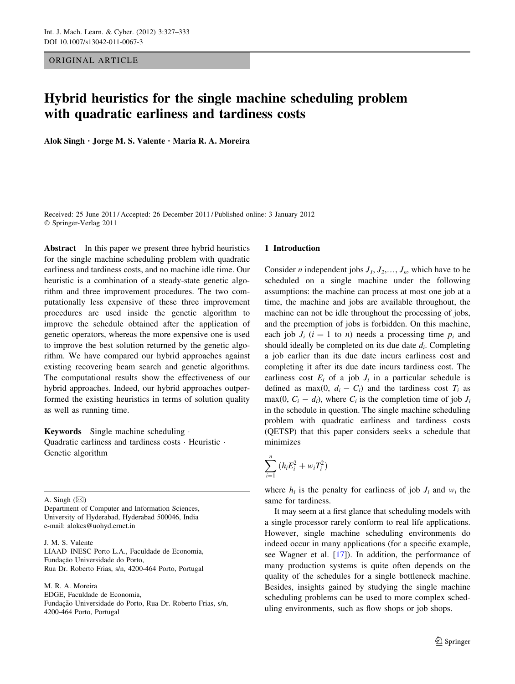ORIGINAL ARTICLE

# Hybrid heuristics for the single machine scheduling problem with quadratic earliness and tardiness costs

Alok Singh • Jorge M. S. Valente • Maria R. A. Moreira

Received: 25 June 2011 / Accepted: 26 December 2011 / Published online: 3 January 2012 © Springer-Verlag 2011

Abstract In this paper we present three hybrid heuristics for the single machine scheduling problem with quadratic earliness and tardiness costs, and no machine idle time. Our heuristic is a combination of a steady-state genetic algorithm and three improvement procedures. The two computationally less expensive of these three improvement procedures are used inside the genetic algorithm to improve the schedule obtained after the application of genetic operators, whereas the more expensive one is used to improve the best solution returned by the genetic algorithm. We have compared our hybrid approaches against existing recovering beam search and genetic algorithms. The computational results show the effectiveness of our hybrid approaches. Indeed, our hybrid approaches outperformed the existing heuristics in terms of solution quality as well as running time.

Keywords Single machine scheduling . Quadratic earliness and tardiness costs · Heuristic · Genetic algorithm

A. Singh  $(\boxtimes)$ 

Department of Computer and Information Sciences, University of Hyderabad, Hyderabad 500046, India e-mail: alokcs@uohyd.ernet.in

J. M. S. Valente

LIAAD–INESC Porto L.A., Faculdade de Economia, Fundação Universidade do Porto, Rua Dr. Roberto Frias, s/n, 4200-464 Porto, Portugal

M. R. A. Moreira EDGE, Faculdade de Economia, Fundação Universidade do Porto, Rua Dr. Roberto Frias, s/n, 4200-464 Porto, Portugal

#### 1 Introduction

Consider *n* independent jobs  $J_1, J_2, \ldots, J_n$ , which have to be scheduled on a single machine under the following assumptions: the machine can process at most one job at a time, the machine and jobs are available throughout, the machine can not be idle throughout the processing of jobs, and the preemption of jobs is forbidden. On this machine, each job  $J_i$  ( $i = 1$  to *n*) needs a processing time  $p_i$  and should ideally be completed on its due date  $d_i$ . Completing a job earlier than its due date incurs earliness cost and completing it after its due date incurs tardiness cost. The earliness cost  $E_i$  of a job  $J_i$  in a particular schedule is defined as max(0,  $d_i - C_i$ ) and the tardiness cost  $T_i$  as max(0,  $C_i - d_i$ ), where  $C_i$  is the completion time of job  $J_i$ in the schedule in question. The single machine scheduling problem with quadratic earliness and tardiness costs (QETSP) that this paper considers seeks a schedule that minimizes

$$
\sum_{i=1}^n \left( h_i E_i^2 + w_i T_i^2 \right)
$$

where  $h_i$  is the penalty for earliness of job  $J_i$  and  $w_i$  the same for tardiness.

It may seem at a first glance that scheduling models with a single processor rarely conform to real life applications. However, single machine scheduling environments do indeed occur in many applications (for a specific example, see Wagner et al. [\[17](#page-6-0)]). In addition, the performance of many production systems is quite often depends on the quality of the schedules for a single bottleneck machine. Besides, insights gained by studying the single machine scheduling problems can be used to more complex scheduling environments, such as flow shops or job shops.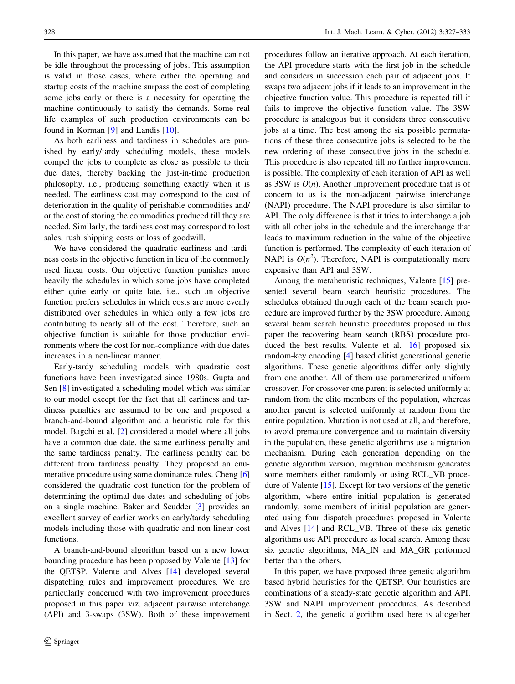In this paper, we have assumed that the machine can not be idle throughout the processing of jobs. This assumption is valid in those cases, where either the operating and startup costs of the machine surpass the cost of completing some jobs early or there is a necessity for operating the machine continuously to satisfy the demands. Some real life examples of such production environments can be found in Korman [\[9](#page-6-0)] and Landis [\[10](#page-6-0)].

As both earliness and tardiness in schedules are punished by early/tardy scheduling models, these models compel the jobs to complete as close as possible to their due dates, thereby backing the just-in-time production philosophy, i.e., producing something exactly when it is needed. The earliness cost may correspond to the cost of deterioration in the quality of perishable commodities and/ or the cost of storing the commodities produced till they are needed. Similarly, the tardiness cost may correspond to lost sales, rush shipping costs or loss of goodwill.

We have considered the quadratic earliness and tardiness costs in the objective function in lieu of the commonly used linear costs. Our objective function punishes more heavily the schedules in which some jobs have completed either quite early or quite late, i.e., such an objective function prefers schedules in which costs are more evenly distributed over schedules in which only a few jobs are contributing to nearly all of the cost. Therefore, such an objective function is suitable for those production environments where the cost for non-compliance with due dates increases in a non-linear manner.

Early-tardy scheduling models with quadratic cost functions have been investigated since 1980s. Gupta and Sen [\[8](#page-6-0)] investigated a scheduling model which was similar to our model except for the fact that all earliness and tardiness penalties are assumed to be one and proposed a branch-and-bound algorithm and a heuristic rule for this model. Bagchi et al. [\[2](#page-6-0)] considered a model where all jobs have a common due date, the same earliness penalty and the same tardiness penalty. The earliness penalty can be different from tardiness penalty. They proposed an enumerative procedure using some dominance rules. Cheng [[6\]](#page-6-0) considered the quadratic cost function for the problem of determining the optimal due-dates and scheduling of jobs on a single machine. Baker and Scudder [[3\]](#page-6-0) provides an excellent survey of earlier works on early/tardy scheduling models including those with quadratic and non-linear cost functions.

A branch-and-bound algorithm based on a new lower bounding procedure has been proposed by Valente [\[13](#page-6-0)] for the QETSP. Valente and Alves [\[14](#page-6-0)] developed several dispatching rules and improvement procedures. We are particularly concerned with two improvement procedures proposed in this paper viz. adjacent pairwise interchange (API) and 3-swaps (3SW). Both of these improvement procedures follow an iterative approach. At each iteration, the API procedure starts with the first job in the schedule and considers in succession each pair of adjacent jobs. It swaps two adjacent jobs if it leads to an improvement in the objective function value. This procedure is repeated till it fails to improve the objective function value. The 3SW procedure is analogous but it considers three consecutive jobs at a time. The best among the six possible permutations of these three consecutive jobs is selected to be the new ordering of these consecutive jobs in the schedule. This procedure is also repeated till no further improvement is possible. The complexity of each iteration of API as well as 3SW is  $O(n)$ . Another improvement procedure that is of concern to us is the non-adjacent pairwise interchange (NAPI) procedure. The NAPI procedure is also similar to API. The only difference is that it tries to interchange a job with all other jobs in the schedule and the interchange that leads to maximum reduction in the value of the objective function is performed. The complexity of each iteration of NAPI is  $O(n^2)$ . Therefore, NAPI is computationally more expensive than API and 3SW.

Among the metaheuristic techniques, Valente [\[15](#page-6-0)] presented several beam search heuristic procedures. The schedules obtained through each of the beam search procedure are improved further by the 3SW procedure. Among several beam search heuristic procedures proposed in this paper the recovering beam search (RBS) procedure produced the best results. Valente et al. [[16\]](#page-6-0) proposed six random-key encoding [\[4](#page-6-0)] based elitist generational genetic algorithms. These genetic algorithms differ only slightly from one another. All of them use parameterized uniform crossover. For crossover one parent is selected uniformly at random from the elite members of the population, whereas another parent is selected uniformly at random from the entire population. Mutation is not used at all, and therefore, to avoid premature convergence and to maintain diversity in the population, these genetic algorithms use a migration mechanism. During each generation depending on the genetic algorithm version, migration mechanism generates some members either randomly or using RCL\_VB procedure of Valente [\[15](#page-6-0)]. Except for two versions of the genetic algorithm, where entire initial population is generated randomly, some members of initial population are generated using four dispatch procedures proposed in Valente and Alves [\[14](#page-6-0)] and RCL\_VB. Three of these six genetic algorithms use API procedure as local search. Among these six genetic algorithms, MA\_IN and MA\_GR performed better than the others.

In this paper, we have proposed three genetic algorithm based hybrid heuristics for the QETSP. Our heuristics are combinations of a steady-state genetic algorithm and API, 3SW and NAPI improvement procedures. As described in Sect. [2,](#page-2-0) the genetic algorithm used here is altogether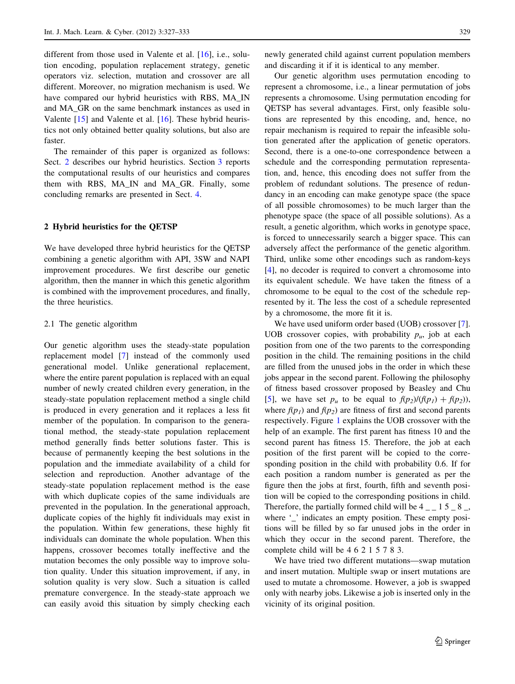<span id="page-2-0"></span>different from those used in Valente et al. [[16\]](#page-6-0), i.e., solution encoding, population replacement strategy, genetic operators viz. selection, mutation and crossover are all different. Moreover, no migration mechanism is used. We have compared our hybrid heuristics with RBS, MA\_IN and MA\_GR on the same benchmark instances as used in Valente [[15\]](#page-6-0) and Valente et al. [\[16](#page-6-0)]. These hybrid heuristics not only obtained better quality solutions, but also are faster.

The remainder of this paper is organized as follows: Sect. 2 describes our hybrid heuristics. Section [3](#page-3-0) reports the computational results of our heuristics and compares them with RBS, MA\_IN and MA\_GR. Finally, some concluding remarks are presented in Sect. [4.](#page-6-0)

## 2 Hybrid heuristics for the QETSP

We have developed three hybrid heuristics for the QETSP combining a genetic algorithm with API, 3SW and NAPI improvement procedures. We first describe our genetic algorithm, then the manner in which this genetic algorithm is combined with the improvement procedures, and finally, the three heuristics.

## 2.1 The genetic algorithm

Our genetic algorithm uses the steady-state population replacement model [[7\]](#page-6-0) instead of the commonly used generational model. Unlike generational replacement, where the entire parent population is replaced with an equal number of newly created children every generation, in the steady-state population replacement method a single child is produced in every generation and it replaces a less fit member of the population. In comparison to the generational method, the steady-state population replacement method generally finds better solutions faster. This is because of permanently keeping the best solutions in the population and the immediate availability of a child for selection and reproduction. Another advantage of the steady-state population replacement method is the ease with which duplicate copies of the same individuals are prevented in the population. In the generational approach, duplicate copies of the highly fit individuals may exist in the population. Within few generations, these highly fit individuals can dominate the whole population. When this happens, crossover becomes totally ineffective and the mutation becomes the only possible way to improve solution quality. Under this situation improvement, if any, in solution quality is very slow. Such a situation is called premature convergence. In the steady-state approach we can easily avoid this situation by simply checking each newly generated child against current population members and discarding it if it is identical to any member.

Our genetic algorithm uses permutation encoding to represent a chromosome, i.e., a linear permutation of jobs represents a chromosome. Using permutation encoding for QETSP has several advantages. First, only feasible solutions are represented by this encoding, and, hence, no repair mechanism is required to repair the infeasible solution generated after the application of genetic operators. Second, there is a one-to-one correspondence between a schedule and the corresponding permutation representation, and, hence, this encoding does not suffer from the problem of redundant solutions. The presence of redundancy in an encoding can make genotype space (the space of all possible chromosomes) to be much larger than the phenotype space (the space of all possible solutions). As a result, a genetic algorithm, which works in genotype space, is forced to unnecessarily search a bigger space. This can adversely affect the performance of the genetic algorithm. Third, unlike some other encodings such as random-keys [\[4](#page-6-0)], no decoder is required to convert a chromosome into its equivalent schedule. We have taken the fitness of a chromosome to be equal to the cost of the schedule represented by it. The less the cost of a schedule represented by a chromosome, the more fit it is.

We have used uniform order based (UOB) crossover [\[7](#page-6-0)]. UOB crossover copies, with probability  $p_{\mu}$ , job at each position from one of the two parents to the corresponding position in the child. The remaining positions in the child are filled from the unused jobs in the order in which these jobs appear in the second parent. Following the philosophy of fitness based crossover proposed by Beasley and Chu [\[5](#page-6-0)], we have set  $p_u$  to be equal to  $f(p_2)/(f(p_1) + f(p_2)),$ where  $f(p_1)$  and  $f(p_2)$  are fitness of first and second parents respectively. Figure [1](#page-3-0) explains the UOB crossover with the help of an example. The first parent has fitness 10 and the second parent has fitness 15. Therefore, the job at each position of the first parent will be copied to the corresponding position in the child with probability 0.6. If for each position a random number is generated as per the figure then the jobs at first, fourth, fifth and seventh position will be copied to the corresponding positions in child. Therefore, the partially formed child will be  $4 \_ 1 \_ 5 \_ 8 \_$ where '\_' indicates an empty position. These empty positions will be filled by so far unused jobs in the order in which they occur in the second parent. Therefore, the complete child will be 4 6 2 1 5 7 8 3.

We have tried two different mutations—swap mutation and insert mutation. Multiple swap or insert mutations are used to mutate a chromosome. However, a job is swapped only with nearby jobs. Likewise a job is inserted only in the vicinity of its original position.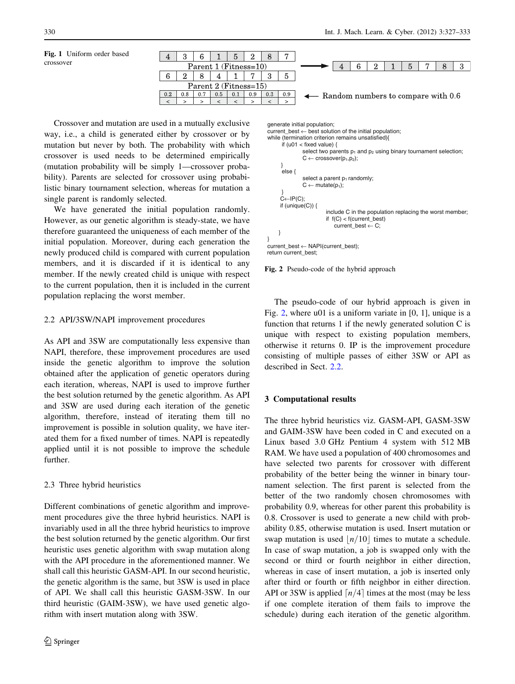

<span id="page-3-0"></span>Fig. 1 Uniform order based crossover

Crossover and mutation are used in a mutually exclusive way, i.e., a child is generated either by crossover or by mutation but never by both. The probability with which crossover is used needs to be determined empirically (mutation probability will be simply 1—crossover probability). Parents are selected for crossover using probabilistic binary tournament selection, whereas for mutation a single parent is randomly selected.

We have generated the initial population randomly. However, as our genetic algorithm is steady-state, we have therefore guaranteed the uniqueness of each member of the initial population. Moreover, during each generation the newly produced child is compared with current population members, and it is discarded if it is identical to any member. If the newly created child is unique with respect to the current population, then it is included in the current population replacing the worst member.

# 2.2 API/3SW/NAPI improvement procedures

As API and 3SW are computationally less expensive than NAPI, therefore, these improvement procedures are used inside the genetic algorithm to improve the solution obtained after the application of genetic operators during each iteration, whereas, NAPI is used to improve further the best solution returned by the genetic algorithm. As API and 3SW are used during each iteration of the genetic algorithm, therefore, instead of iterating them till no improvement is possible in solution quality, we have iterated them for a fixed number of times. NAPI is repeatedly applied until it is not possible to improve the schedule further.

# 2.3 Three hybrid heuristics

Different combinations of genetic algorithm and improvement procedures give the three hybrid heuristics. NAPI is invariably used in all the three hybrid heuristics to improve the best solution returned by the genetic algorithm. Our first heuristic uses genetic algorithm with swap mutation along with the API procedure in the aforementioned manner. We shall call this heuristic GASM-API. In our second heuristic, the genetic algorithm is the same, but 3SW is used in place of API. We shall call this heuristic GASM-3SW. In our third heuristic (GAIM-3SW), we have used genetic algorithm with insert mutation along with 3SW.

\n
$$
generate initial population;
$$
\n current\_best ← best solution of the initial population;\n while (termination criterion remains unsatisfied){\n if (u01 < fixed value) {\n select two parents p<sub>1</sub> and p<sub>2</sub> using binary tournament selection;\n- $C \leftarrow \text{crossover}(p_1, p_2);$ \n } else {\n select a parent p<sub>1</sub> randomly;
\n- $C \leftarrow \text{mutate}(p_1);$ \n } \n } \n} \n

\n\n $C \leftarrow \text{mutate}(p_1);$ \n

\n\n $C \leftarrow \text{mutate}(p_2);$ \n

\n\n $C \leftarrow \text{mutate}(p_1);$ \n

\n\n $C \leftarrow \text{mutate}(p_2);$ \n

\n\n $C \leftarrow \text{mutate}(p_2);$ \n

\n\n $C \leftarrow \text{mutate}(p_2);$ \n

\n\n $C \leftarrow \text{mutate}(p_2);$ \n

\n\n $C \leftarrow \text{mutate}(p_2);$ \n

\n\n $C \leftarrow \text{mutate}(p_2);$ \n

\n\n $C \leftarrow \text{mutate}(p_2);$ \n

\n\n $C \leftarrow \text{mutate}(p_2);$ \n

\n\n $C \leftarrow \text{mutate}(p_2);$ \n

\n\n $C \leftarrow \text{mutate}(p_2);$ \n

\n\n $C \leftarrow \text{Part}(C \leftarrow \text{start} \cup \text{best})$ \n

\n\n $C \leftarrow \text{Part}(C \leftarrow \text{start} \cup \text{best})$ \n

\n\n $C \leftarrow \text{Part}(C \leftarrow \text{start} \cup \text{best})$ \n

\n\n $C \leftarrow \text{Part}(C \leftarrow \text{start} \cup \text{best})$ \n



The pseudo-code of our hybrid approach is given in Fig. 2, where u01 is a uniform variate in [0, 1], unique is a function that returns 1 if the newly generated solution C is unique with respect to existing population members, otherwise it returns 0. IP is the improvement procedure consisting of multiple passes of either 3SW or API as described in Sect. 2.2.

#### 3 Computational results

The three hybrid heuristics viz. GASM-API, GASM-3SW and GAIM-3SW have been coded in C and executed on a Linux based 3.0 GHz Pentium 4 system with 512 MB RAM. We have used a population of 400 chromosomes and have selected two parents for crossover with different probability of the better being the winner in binary tournament selection. The first parent is selected from the better of the two randomly chosen chromosomes with probability 0.9, whereas for other parent this probability is 0.8. Crossover is used to generate a new child with probability 0.85, otherwise mutation is used. Insert mutation or swap mutation is used  $\vert n/10 \vert$  times to mutate a schedule. In case of swap mutation, a job is swapped only with the second or third or fourth neighbor in either direction, whereas in case of insert mutation, a job is inserted only after third or fourth or fifth neighbor in either direction. API or 3SW is applied  $\lceil n/4 \rceil$  times at the most (may be less if one complete iteration of them fails to improve the schedule) during each iteration of the genetic algorithm.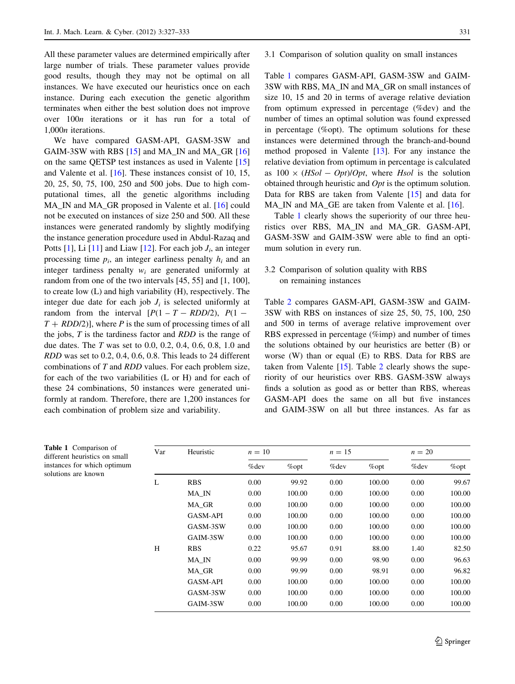All these parameter values are determined empirically after large number of trials. These parameter values provide good results, though they may not be optimal on all instances. We have executed our heuristics once on each instance. During each execution the genetic algorithm terminates when either the best solution does not improve over 100n iterations or it has run for a total of 1,000n iterations.

We have compared GASM-API, GASM-3SW and GAIM-3SW with RBS [\[15](#page-6-0)] and MA\_IN and MA\_GR [[16\]](#page-6-0) on the same QETSP test instances as used in Valente [[15\]](#page-6-0) and Valente et al. [[16\]](#page-6-0). These instances consist of 10, 15, 20, 25, 50, 75, 100, 250 and 500 jobs. Due to high computational times, all the genetic algorithms including MA\_IN and MA\_GR proposed in Valente et al. [[16\]](#page-6-0) could not be executed on instances of size 250 and 500. All these instances were generated randomly by slightly modifying the instance generation procedure used in Abdul-Razaq and Potts [\[1](#page-6-0)], Li [[11\]](#page-6-0) and Liaw [\[12](#page-6-0)]. For each job  $J_i$ , an integer processing time  $p_i$ , an integer earliness penalty  $h_i$  and an integer tardiness penalty  $w_i$  are generated uniformly at random from one of the two intervals [45, 55] and [1, 100], to create low (L) and high variability (H), respectively. The integer due date for each job  $J_i$  is selected uniformly at random from the interval  $[P(1 - T - RDD/2), P(1 T + RDD(2)$ , where P is the sum of processing times of all the jobs, T is the tardiness factor and RDD is the range of due dates. The T was set to 0.0, 0.2, 0.4, 0.6, 0.8, 1.0 and RDD was set to 0.2, 0.4, 0.6, 0.8. This leads to 24 different combinations of T and RDD values. For each problem size, for each of the two variabilities (L or H) and for each of these 24 combinations, 50 instances were generated uniformly at random. Therefore, there are 1,200 instances for each combination of problem size and variability.

3.1 Comparison of solution quality on small instances

Table 1 compares GASM-API, GASM-3SW and GAIM-3SW with RBS, MA\_IN and MA\_GR on small instances of size 10, 15 and 20 in terms of average relative deviation from optimum expressed in percentage (%dev) and the number of times an optimal solution was found expressed in percentage (%opt). The optimum solutions for these instances were determined through the branch-and-bound method proposed in Valente [\[13](#page-6-0)]. For any instance the relative deviation from optimum in percentage is calculated as  $100 \times (HSol - Opt)/Opt$ , where Hsol is the solution obtained through heuristic and Opt is the optimum solution. Data for RBS are taken from Valente [[15\]](#page-6-0) and data for MA\_IN and MA\_GE are taken from Valente et al. [\[16](#page-6-0)].

Table 1 clearly shows the superiority of our three heuristics over RBS, MA\_IN and MA\_GR. GASM-API, GASM-3SW and GAIM-3SW were able to find an optimum solution in every run.

# 3.2 Comparison of solution quality with RBS on remaining instances

Table [2](#page-5-0) compares GASM-API, GASM-3SW and GAIM-3SW with RBS on instances of size 25, 50, 75, 100, 250 and 500 in terms of average relative improvement over RBS expressed in percentage (%imp) and number of times the solutions obtained by our heuristics are better (B) or worse (W) than or equal (E) to RBS. Data for RBS are taken from Valente [[15\]](#page-6-0). Table [2](#page-5-0) clearly shows the superiority of our heuristics over RBS. GASM-3SW always finds a solution as good as or better than RBS, whereas GASM-API does the same on all but five instances and GAIM-3SW on all but three instances. As far as

| Var | Heuristic       | $n=10$  |          |         | $n=15$   |         | $n=20$   |  |
|-----|-----------------|---------|----------|---------|----------|---------|----------|--|
|     |                 | $%$ dev | $\%$ opt | $%$ dev | $\%$ opt | $%$ dev | $\%$ opt |  |
| L   | <b>RBS</b>      | 0.00    | 99.92    | 0.00    | 100.00   | 0.00    | 99.67    |  |
|     | MA IN           | 0.00    | 100.00   | 0.00    | 100.00   | 0.00    | 100.00   |  |
|     | MA GR           | 0.00    | 100.00   | 0.00    | 100.00   | 0.00    | 100.00   |  |
|     | <b>GASM-API</b> | 0.00    | 100.00   | 0.00    | 100.00   | 0.00    | 100.00   |  |
|     | GASM-3SW        | 0.00    | 100.00   | 0.00    | 100.00   | 0.00    | 100.00   |  |
|     | GAIM-3SW        | 0.00    | 100.00   | 0.00    | 100.00   | 0.00    | 100.00   |  |
| H   | <b>RBS</b>      | 0.22    | 95.67    | 0.91    | 88.00    | 1.40    | 82.50    |  |
|     | MA IN           | 0.00    | 99.99    | 0.00    | 98.90    | 0.00    | 96.63    |  |
|     | MA GR           | 0.00    | 99.99    | 0.00    | 98.91    | 0.00    | 96.82    |  |
|     | <b>GASM-API</b> | 0.00    | 100.00   | 0.00    | 100.00   | 0.00    | 100.00   |  |
|     | GASM-3SW        | 0.00    | 100.00   | 0.00    | 100.00   | 0.00    | 100.00   |  |
|     | GAIM-3SW        | 0.00    | 100.00   | 0.00    | 100.00   | 0.00    | 100.00   |  |

| Table 1 Comparison of         |
|-------------------------------|
| different heuristics on small |
| instances for which optimum   |
| solutions are known           |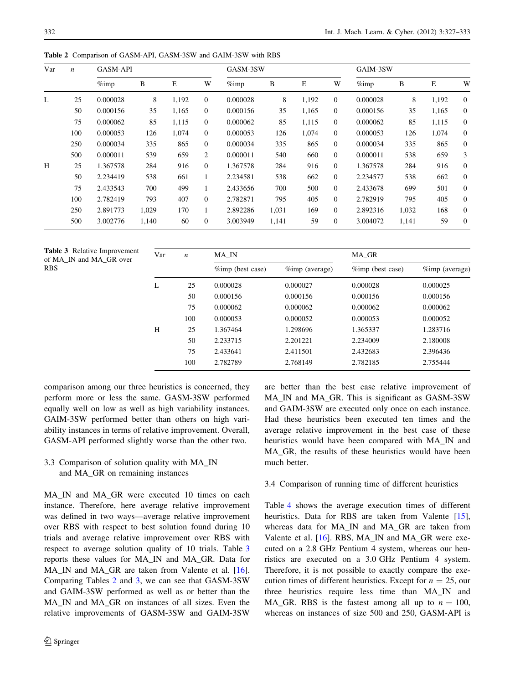| Var | $\boldsymbol{n}$ | <b>GASM-API</b> |       |       |                  | GASM-3SW |       |       |                | GAIM-3SW |       |       |              |
|-----|------------------|-----------------|-------|-------|------------------|----------|-------|-------|----------------|----------|-------|-------|--------------|
|     |                  | $\%$ imp        | B     | E     | W                | $\%$ imp | B     | E     | W              | $\%$ imp | B     | E     | W            |
| L   | 25               | 0.000028        | 8     | 1,192 | $\boldsymbol{0}$ | 0.000028 | 8     | 1,192 | $\overline{0}$ | 0.000028 | 8     | 1,192 | $\mathbf{0}$ |
|     | 50               | 0.000156        | 35    | 1,165 | $\overline{0}$   | 0.000156 | 35    | 1,165 | $\overline{0}$ | 0.000156 | 35    | 1,165 | $\theta$     |
|     | 75               | 0.000062        | 85    | 1,115 | $\overline{0}$   | 0.000062 | 85    | 1,115 | $\overline{0}$ | 0.000062 | 85    | 1,115 | $\mathbf{0}$ |
|     | 100              | 0.000053        | 126   | 1.074 | $\overline{0}$   | 0.000053 | 126   | 1,074 | $\overline{0}$ | 0.000053 | 126   | 1,074 | $\theta$     |
|     | 250              | 0.000034        | 335   | 865   | $\overline{0}$   | 0.000034 | 335   | 865   | $\overline{0}$ | 0.000034 | 335   | 865   | $\mathbf{0}$ |
|     | 500              | 0.000011        | 539   | 659   | 2                | 0.000011 | 540   | 660   | $\overline{0}$ | 0.000011 | 538   | 659   | 3            |
| H   | 25               | 1.367578        | 284   | 916   | $\overline{0}$   | 1.367578 | 284   | 916   | $\Omega$       | 1.367578 | 284   | 916   | $\theta$     |
|     | 50               | 2.234419        | 538   | 661   | 1                | 2.234581 | 538   | 662   | $\overline{0}$ | 2.234577 | 538   | 662   | $\mathbf{0}$ |
|     | 75               | 2.433543        | 700   | 499   | 1                | 2.433656 | 700   | 500   | $\Omega$       | 2.433678 | 699   | 501   | $\theta$     |
|     | 100              | 2.782419        | 793   | 407   | $\overline{0}$   | 2.782871 | 795   | 405   | $\overline{0}$ | 2.782919 | 795   | 405   | $\mathbf{0}$ |
|     | 250              | 2.891773        | 1.029 | 170   | 1                | 2.892286 | 1,031 | 169   | $\overline{0}$ | 2.892316 | 1,032 | 168   | $\theta$     |
|     | 500              | 3.002776        | 1,140 | 60    | $\theta$         | 3.003949 | 1,141 | 59    | $\mathbf{0}$   | 3.004072 | 1,141 | 59    | $\theta$     |

<span id="page-5-0"></span>Table 2 Comparison of GASM-API, GASM-3SW and GAIM-3SW with RBS

Table 3 Relative Improvement of MA\_IN and MA\_GR over **RBS** 

| Var | $\boldsymbol{n}$ | MA IN            |                    | MA GR            |                    |  |  |
|-----|------------------|------------------|--------------------|------------------|--------------------|--|--|
|     |                  | %imp (best case) | $\%$ imp (average) | %imp (best case) | $\%$ imp (average) |  |  |
| L   | 25               | 0.000028         | 0.000027           | 0.000028         | 0.000025           |  |  |
|     | 50               | 0.000156         | 0.000156           | 0.000156         | 0.000156           |  |  |
|     | 75               | 0.000062         | 0.000062           | 0.000062         | 0.000062           |  |  |
|     | 100              | 0.000053         | 0.000052           | 0.000053         | 0.000052           |  |  |
| H   | 25               | 1.367464         | 1.298696           | 1.365337         | 1.283716           |  |  |
|     | 50               | 2.233715         | 2.201221           | 2.234009         | 2.180008           |  |  |
|     | 75               | 2.433641         | 2.411501           | 2.432683         | 2.396436           |  |  |
|     | 100              | 2.782789         | 2.768149           | 2.782185         | 2.755444           |  |  |

comparison among our three heuristics is concerned, they perform more or less the same. GASM-3SW performed equally well on low as well as high variability instances. GAIM-3SW performed better than others on high variability instances in terms of relative improvement. Overall, GASM-API performed slightly worse than the other two.

# 3.3 Comparison of solution quality with MA\_IN and MA\_GR on remaining instances

MA\_IN and MA\_GR were executed 10 times on each instance. Therefore, here average relative improvement was defined in two ways—average relative improvement over RBS with respect to best solution found during 10 trials and average relative improvement over RBS with respect to average solution quality of 10 trials. Table 3 reports these values for MA\_IN and MA\_GR. Data for MA\_IN and MA\_GR are taken from Valente et al. [\[16](#page-6-0)]. Comparing Tables 2 and 3, we can see that GASM-3SW and GAIM-3SW performed as well as or better than the MA\_IN and MA\_GR on instances of all sizes. Even the relative improvements of GASM-3SW and GAIM-3SW

are better than the best case relative improvement of MA\_IN and MA\_GR. This is significant as GASM-3SW and GAIM-3SW are executed only once on each instance. Had these heuristics been executed ten times and the average relative improvement in the best case of these heuristics would have been compared with MA\_IN and MA\_GR, the results of these heuristics would have been much better.

# 3.4 Comparison of running time of different heuristics

Table [4](#page-6-0) shows the average execution times of different heuristics. Data for RBS are taken from Valente [\[15](#page-6-0)], whereas data for MA\_IN and MA\_GR are taken from Valente et al. [\[16](#page-6-0)]. RBS, MA\_IN and MA\_GR were executed on a 2.8 GHz Pentium 4 system, whereas our heuristics are executed on a 3.0 GHz Pentium 4 system. Therefore, it is not possible to exactly compare the execution times of different heuristics. Except for  $n = 25$ , our three heuristics require less time than MA\_IN and MA\_GR. RBS is the fastest among all up to  $n = 100$ , whereas on instances of size 500 and 250, GASM-API is